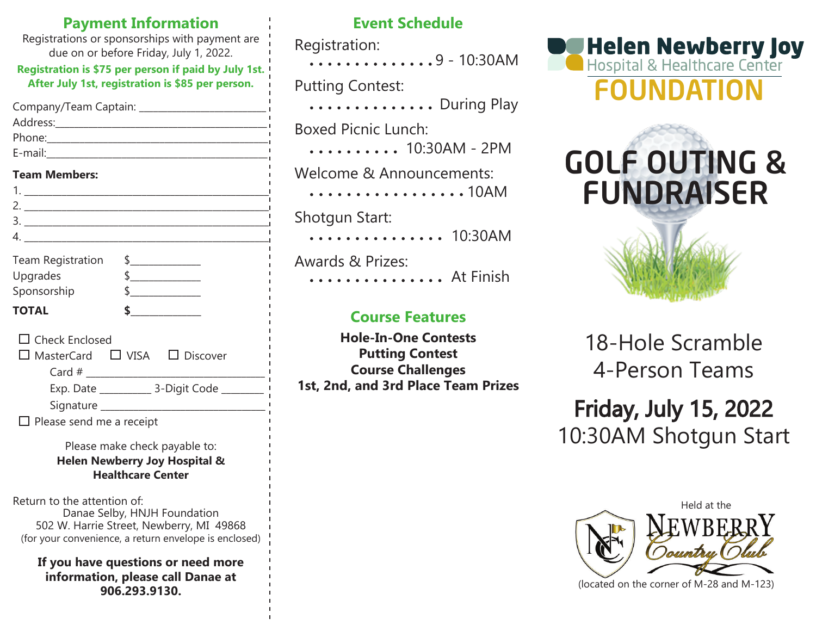| <b>Payment Information</b><br>Registrations or sponsorships with payment are<br>due on or before Friday, July 1, 2022.<br>Registration is \$75 per person if paid by July 1st.<br>After July 1st, registration is \$85 per person. |  |
|------------------------------------------------------------------------------------------------------------------------------------------------------------------------------------------------------------------------------------|--|
|                                                                                                                                                                                                                                    |  |
| <b>Team Members:</b>                                                                                                                                                                                                               |  |
|                                                                                                                                                                                                                                    |  |
| <b>Team Registration</b><br>$\frac{1}{2}$<br>Upgrades<br>$\frac{1}{2}$<br>$\frac{1}{2}$<br>Sponsorship                                                                                                                             |  |
| $\frac{1}{2}$<br><b>TOTAL</b>                                                                                                                                                                                                      |  |
| $\Box$ Check Enclosed<br>$\square$ MasterCard $\square$ VISA $\square$ Discover                                                                                                                                                    |  |
|                                                                                                                                                                                                                                    |  |
| $\Box$ Please send me a receipt                                                                                                                                                                                                    |  |
| Please make check payable to:<br>Helen Newberry Joy Hospital &<br><b>Healthcare Center</b>                                                                                                                                         |  |
| Return to the attention of:<br>Danae Selby, HNJH Foundation<br>502 W. Harrie Street, Newberry, MI 49868<br>(for your convenience, a return envelope is enclosed)                                                                   |  |
| If you have questions or need more<br>information, please call Danae at<br>906.293.9130.                                                                                                                                           |  |

# **Event Schedule**

Registration:

 $\ldots$ ..........9 - 10:30AM

Putting Contest:

............. During Play

Boxed Picnic Lunch:

 $\ldots \ldots \ldots$  10:30AM - 2PM

Welcome & Announcements:

................10AM Shotgun Start:

.............. 10:30AM

Awards & Prizes: .............. At Finish

# **Course Features**

**Hole-In-One Contests Putting Contest Course Challenges 1st, 2nd, and 3rd Place Team Prizes**







18-Hole Scramble 4-Person Teams

Friday, July 15, 2022 10:30AM Shotgun Start



(located on the corner of M-28 and M-123)